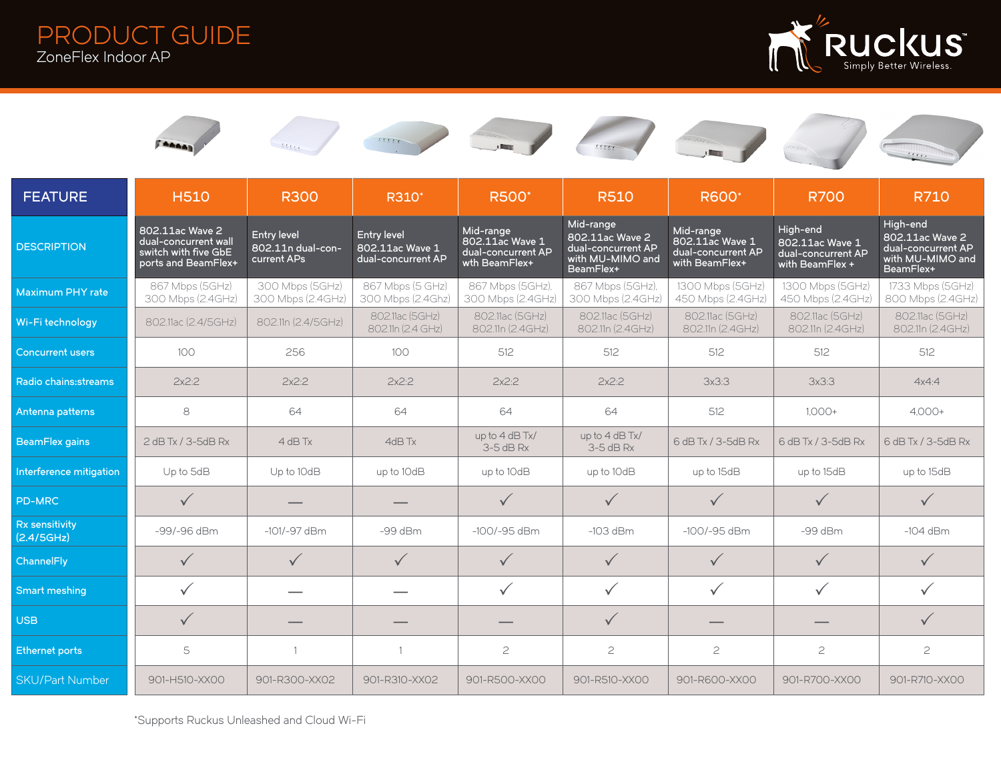PRODUCT GUIDE ZoneFlex Indoor AP















| <b>FEATURE</b>               | <b>H510</b>                                                                            | <b>R300</b>                                            | R310*                                                       | <b>R500</b> *                                                       | <b>R510</b>                                                                         | <b>R600</b> <sup>*</sup>                                             | <b>R700</b>                                                          | <b>R710</b>                                                                        |
|------------------------------|----------------------------------------------------------------------------------------|--------------------------------------------------------|-------------------------------------------------------------|---------------------------------------------------------------------|-------------------------------------------------------------------------------------|----------------------------------------------------------------------|----------------------------------------------------------------------|------------------------------------------------------------------------------------|
| <b>DESCRIPTION</b>           | 802.11ac Wave 2<br>dual-concurrent wall<br>switch with five GbE<br>ports and BeamFlex+ | <b>Entry level</b><br>802.11n dual-con-<br>current APs | <b>Entry level</b><br>802.11ac Wave 1<br>dual-concurrent AP | Mid-range<br>802.11ac Wave 1<br>dual-concurrent AP<br>wth BeamFlex+ | Mid-range<br>802.11ac Wave 2<br>dual-concurrent AP<br>with MU-MIMO and<br>BeamFlex+ | Mid-range<br>802.11ac Wave 1<br>dual-concurrent AP<br>with BeamFlex+ | High-end<br>802.11ac Wave 1<br>dual-concurrent AP<br>with BeamFlex + | High-end<br>802.11ac Wave 2<br>dual-concurrent AP<br>with MU-MIMO and<br>BeamFlex+ |
| Maximum PHY rate             | 867 Mbps (5GHz)<br>300 Mbps (2.4GHz)                                                   | 300 Mbps (5GHz)<br>300 Mbps (2.4GHz)                   | 867 Mbps (5 GHz)<br>300 Mbps (2.4Ghz)                       | 867 Mbps (5GHz),<br>300 Mbps (2.4GHz)                               | 867 Mbps (5GHz).<br>300 Mbps (2.4GHz)                                               | 1300 Mbps (5GHz)<br>450 Mbps (2.4GHz)                                | 1300 Mbps (5GHz)<br>450 Mbps (2.4GHz)                                | 1733 Mbps (5GHz)<br>800 Mbps (2.4GHz)                                              |
| Wi-Fi technology             | 802.11ac (2.4/5GHz)                                                                    | 802.11n (2.4/5GHz)                                     | 802.11ac (5GHz)<br>802.11n (2.4 GHz)                        | 802.11ac (5GHz)<br>802.11n (2.4GHz)                                 | 802.11ac (5GHz)<br>802.11n (2.4GHz)                                                 | 802.11ac (5GHz)<br>802.11n (2.4GHz)                                  | 802.11ac (5GHz)<br>802.11n (2.4GHz)                                  | 802.11ac (5GHz)<br>802.11n (2.4GHz)                                                |
| <b>Concurrent users</b>      | 100                                                                                    | 256                                                    | 100                                                         | 512                                                                 | 512                                                                                 | 512                                                                  | 512                                                                  | 512                                                                                |
| Radio chains: streams        | $2x^2:2$                                                                               | 2x2:2                                                  | 2x2:2                                                       | 2x2:2                                                               | $2x^2:2$                                                                            | 3x3:3                                                                | 3x3:3                                                                | 4x4:4                                                                              |
| Antenna patterns             | 8                                                                                      | 64                                                     | 64                                                          | 64                                                                  | 64                                                                                  | 512                                                                  | $1,000+$                                                             | $4,000+$                                                                           |
| <b>BeamFlex gains</b>        | 2 dB Tx / 3-5dB Rx                                                                     | $4$ dB Tx                                              | 4dB Tx                                                      | up to 4 dB Tx/<br>$3-5$ dB Rx                                       | up to 4 dB Tx/<br>$3-5$ dB Rx                                                       | 6 dB Tx / 3-5dB Rx                                                   | 6 dB Tx / 3-5dB Rx                                                   | 6 dB Tx / 3-5dB Rx                                                                 |
| Interference mitigation      | Up to 5dB                                                                              | Up to $10dB$                                           | up to 10dB                                                  | up to 10dB                                                          | up to 10dB                                                                          | up to 15dB                                                           | up to 15dB                                                           | up to 15dB                                                                         |
| <b>PD-MRC</b>                | $\checkmark$                                                                           |                                                        |                                                             | $\checkmark$                                                        | $\checkmark$                                                                        | $\checkmark$                                                         | $\checkmark$                                                         | $\checkmark$                                                                       |
| Rx sensitivity<br>(2.4/5GHz) | -99/-96 dBm                                                                            | $-101/-97$ dBm                                         | $-99$ dBm                                                   | $-100/-95$ dBm                                                      | $-103$ dBm                                                                          | $-100/-95$ dBm                                                       | $-99$ dBm                                                            | $-104$ dBm                                                                         |
| ChannelFly                   | $\checkmark$                                                                           | $\checkmark$                                           | $\checkmark$                                                | $\checkmark$                                                        | $\checkmark$                                                                        | $\checkmark$                                                         | $\checkmark$                                                         | $\checkmark$                                                                       |
| Smart meshing                | $\checkmark$                                                                           |                                                        |                                                             | $\checkmark$                                                        | $\checkmark$                                                                        | $\checkmark$                                                         | $\checkmark$                                                         | $\checkmark$                                                                       |
| <b>USB</b>                   | $\checkmark$                                                                           |                                                        |                                                             |                                                                     | $\checkmark$                                                                        |                                                                      |                                                                      | $\checkmark$                                                                       |
| <b>Ethernet ports</b>        | 5                                                                                      |                                                        |                                                             | $\mathbf{C}$                                                        | $\mathfrak{C}$                                                                      | $\mathbf{2}$                                                         | $\mathbf{Z}$                                                         | $\mathbf{c}$                                                                       |
| <b>SKU/Part Number</b>       | 901-H510-XX00                                                                          | 901-R300-XX02                                          | 901-R310-XX02                                               | 901-R500-XX00                                                       | 901-R510-XX00                                                                       | 901-R600-XX00                                                        | 901-R700-XX00                                                        | 901-R710-XX00                                                                      |

\*Supports Ruckus Unleashed and Cloud Wi-Fi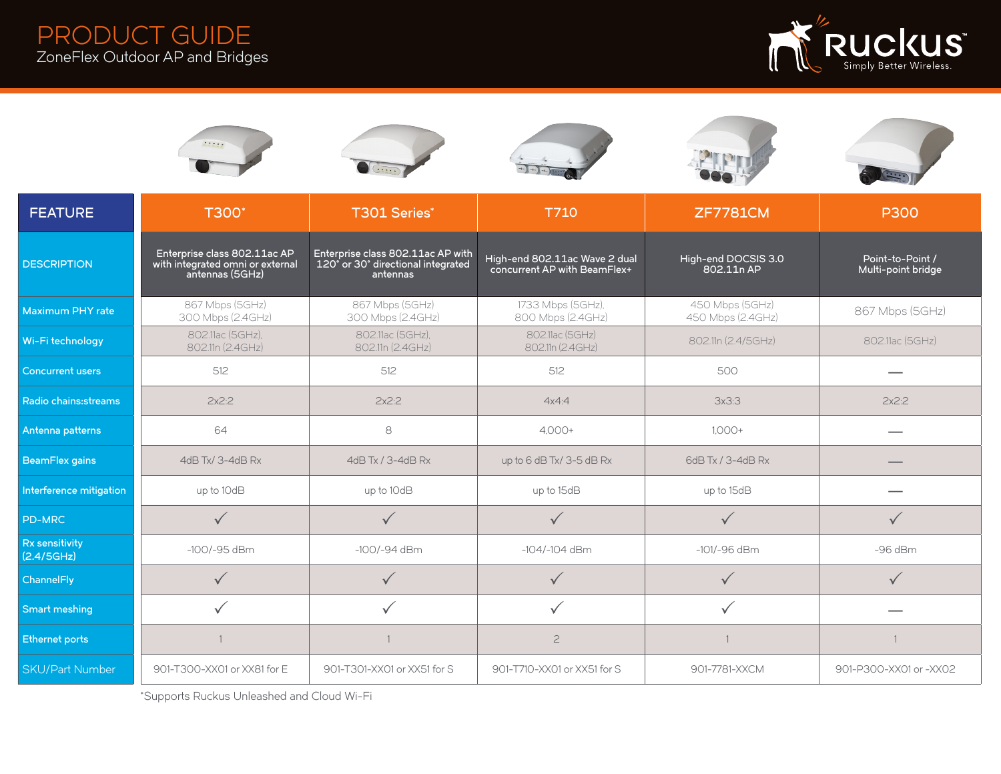



| <b>FEATURE</b>               | T300 <sup>*</sup>                                                                   | <b>T301 Series*</b>                                                                 | T710                                                          | <b>ZF7781CM</b>                      | <b>P300</b>                            |  |
|------------------------------|-------------------------------------------------------------------------------------|-------------------------------------------------------------------------------------|---------------------------------------------------------------|--------------------------------------|----------------------------------------|--|
| <b>DESCRIPTION</b>           | Enterprise class 802.11ac AP<br>with integrated omni or external<br>antennas (5GHz) | Enterprise class 802.11ac AP with<br>120° or 30° directional integrated<br>antennas | High-end 802.11ac Wave 2 dual<br>concurrent AP with BeamFlex+ | High-end DOCSIS 3.0<br>802.11n AP    | Point-to-Point /<br>Multi-point bridge |  |
| Maximum PHY rate             | 867 Mbps (5GHz)<br>300 Mbps (2.4GHz)                                                | 867 Mbps (5GHz)<br>300 Mbps (2.4GHz)                                                | 1733 Mbps (5GHz),<br>800 Mbps (2.4GHz)                        | 450 Mbps (5GHz)<br>450 Mbps (2.4GHz) | 867 Mbps (5GHz)                        |  |
| Wi-Fi technology             | 802.11ac (5GHz),<br>802.11n (2.4GHz)                                                | 802.11ac (5GHz),<br>802.11n (2.4GHz)                                                | 802.11ac (5GHz)<br>802.11n (2.4GHz)                           | 802.11n (2.4/5GHz)                   | 802.11ac (5GHz)                        |  |
| <b>Concurrent users</b>      | 512                                                                                 | 512                                                                                 | 512                                                           | 500                                  |                                        |  |
| Radio chains: streams        | $2x^2:2$                                                                            | 2x2:2                                                                               | 4x4:4                                                         | 3x3:3                                | 2x2:2                                  |  |
| Antenna patterns             | 64                                                                                  | 8                                                                                   | $4.000 +$                                                     | $1.000 +$                            |                                        |  |
| <b>BeamFlex gains</b>        | 4dB Tx/ 3-4dB Rx                                                                    | 4dB Tx / 3-4dB Rx                                                                   | up to $6$ dB Tx/ $3-5$ dB Rx                                  | 6dB Tx / 3-4dB Rx                    |                                        |  |
| Interference mitigation      | up to 10dB                                                                          | up to 10dB                                                                          | up to 15dB                                                    | up to 15dB                           |                                        |  |
| <b>PD-MRC</b>                | $\checkmark$                                                                        | $\sqrt{}$                                                                           | $\checkmark$                                                  | $\checkmark$                         | $\checkmark$                           |  |
| Rx sensitivity<br>(2.4/5GHz) | $-100/-95$ dBm                                                                      | $-100/-94$ dBm                                                                      | $-104/-104$ dBm                                               | $-101/-96$ dBm                       | $-96$ dBm                              |  |
| ChannelFly                   |                                                                                     | $\sqrt{}$                                                                           | $\checkmark$                                                  |                                      |                                        |  |
| <b>Smart meshing</b>         |                                                                                     | $\checkmark$                                                                        | ✓                                                             |                                      |                                        |  |
| <b>Ethernet ports</b>        |                                                                                     |                                                                                     | $\overline{c}$                                                |                                      |                                        |  |
| <b>SKU/Part Number</b>       | 901-T300-XX01 or XX81 for E                                                         | 901-T301-XX01 or XX51 for S                                                         | 901-T710-XX01 or XX51 for S                                   | 901-7781-XXCM                        | 901-P300-XX01 or -XX02                 |  |

\*Supports Ruckus Unleashed and Cloud Wi-Fi